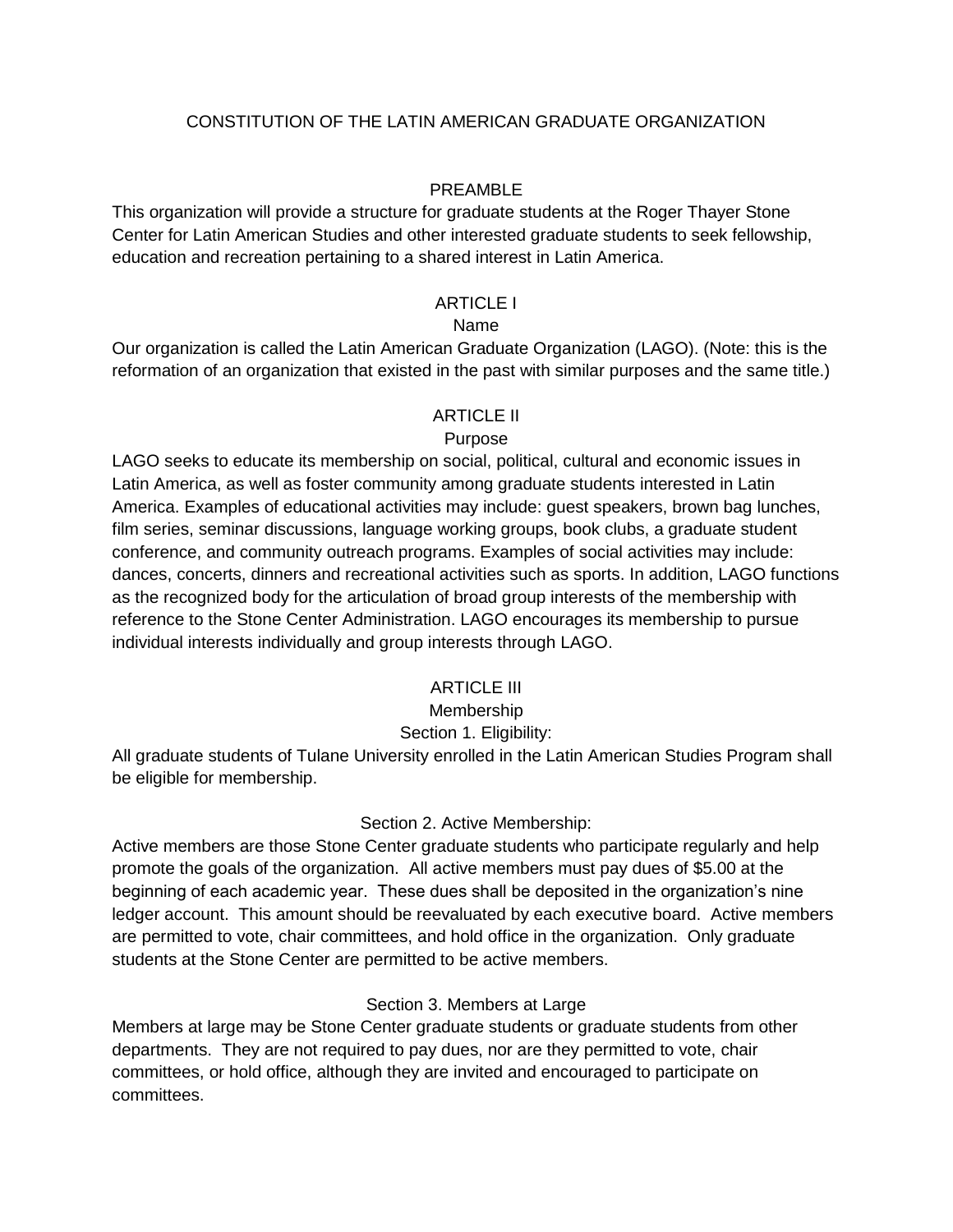#### CONSTITUTION OF THE LATIN AMERICAN GRADUATE ORGANIZATION

#### PREAMBLE

This organization will provide a structure for graduate students at the Roger Thayer Stone Center for Latin American Studies and other interested graduate students to seek fellowship, education and recreation pertaining to a shared interest in Latin America.

#### ARTICLE I

#### Name

Our organization is called the Latin American Graduate Organization (LAGO). (Note: this is the reformation of an organization that existed in the past with similar purposes and the same title.)

#### ARTICLE II

#### Purpose

LAGO seeks to educate its membership on social, political, cultural and economic issues in Latin America, as well as foster community among graduate students interested in Latin America. Examples of educational activities may include: guest speakers, brown bag lunches, film series, seminar discussions, language working groups, book clubs, a graduate student conference, and community outreach programs. Examples of social activities may include: dances, concerts, dinners and recreational activities such as sports. In addition, LAGO functions as the recognized body for the articulation of broad group interests of the membership with reference to the Stone Center Administration. LAGO encourages its membership to pursue individual interests individually and group interests through LAGO.

### **ARTICLE III**

#### Membership

#### Section 1. Eligibility:

All graduate students of Tulane University enrolled in the Latin American Studies Program shall be eligible for membership.

#### Section 2. Active Membership:

Active members are those Stone Center graduate students who participate regularly and help promote the goals of the organization. All active members must pay dues of \$5.00 at the beginning of each academic year. These dues shall be deposited in the organization's nine ledger account. This amount should be reevaluated by each executive board. Active members are permitted to vote, chair committees, and hold office in the organization. Only graduate students at the Stone Center are permitted to be active members.

#### Section 3. Members at Large

Members at large may be Stone Center graduate students or graduate students from other departments. They are not required to pay dues, nor are they permitted to vote, chair committees, or hold office, although they are invited and encouraged to participate on committees.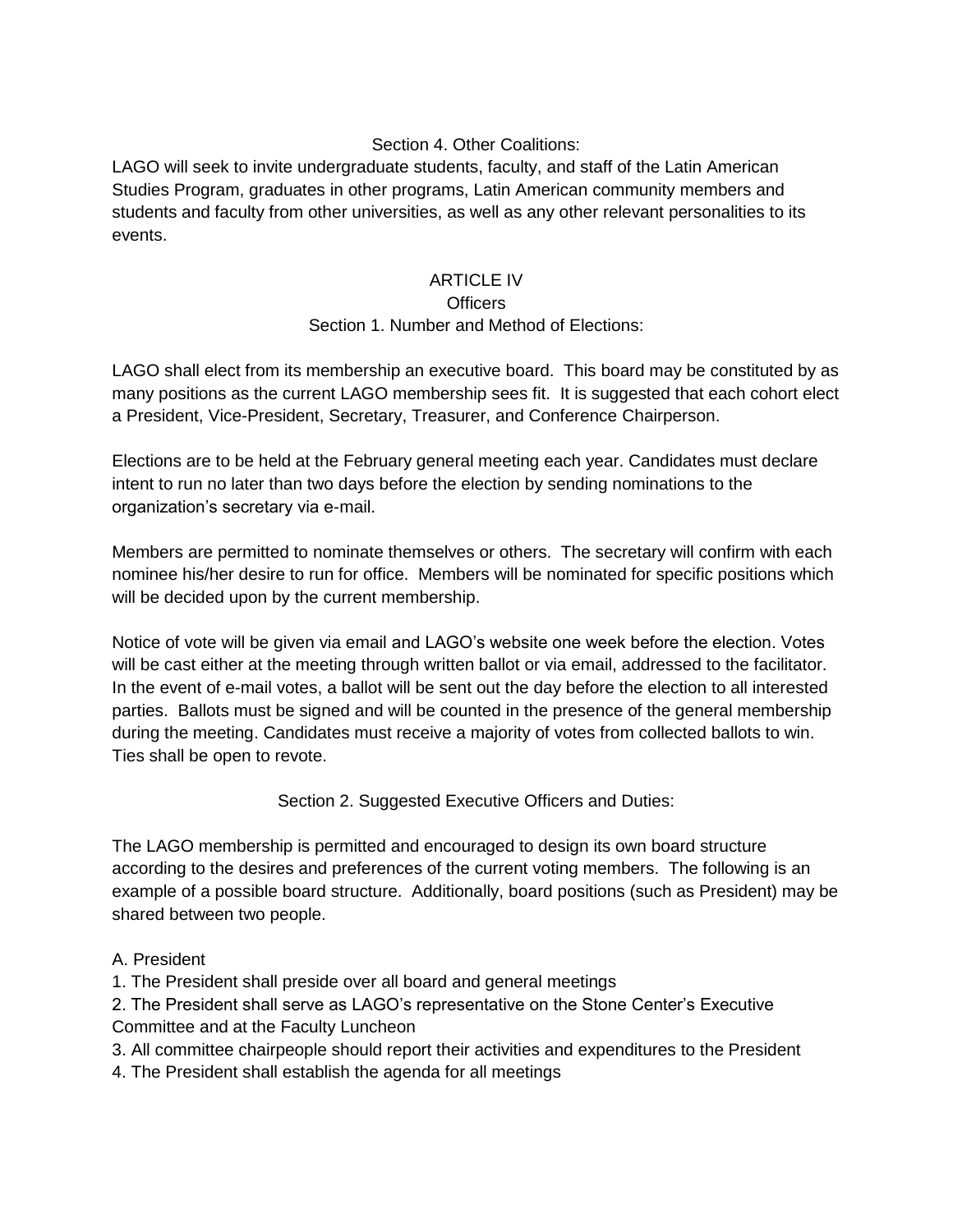### Section 4. Other Coalitions:

LAGO will seek to invite undergraduate students, faculty, and staff of the Latin American Studies Program, graduates in other programs, Latin American community members and students and faculty from other universities, as well as any other relevant personalities to its events.

#### **ARTICLE IV**

#### **Officers**

### Section 1. Number and Method of Elections:

LAGO shall elect from its membership an executive board. This board may be constituted by as many positions as the current LAGO membership sees fit. It is suggested that each cohort elect a President, Vice-President, Secretary, Treasurer, and Conference Chairperson.

Elections are to be held at the February general meeting each year. Candidates must declare intent to run no later than two days before the election by sending nominations to the organization's secretary via e-mail.

Members are permitted to nominate themselves or others. The secretary will confirm with each nominee his/her desire to run for office. Members will be nominated for specific positions which will be decided upon by the current membership.

Notice of vote will be given via email and LAGO's website one week before the election. Votes will be cast either at the meeting through written ballot or via email, addressed to the facilitator. In the event of e-mail votes, a ballot will be sent out the day before the election to all interested parties. Ballots must be signed and will be counted in the presence of the general membership during the meeting. Candidates must receive a majority of votes from collected ballots to win. Ties shall be open to revote.

Section 2. Suggested Executive Officers and Duties:

The LAGO membership is permitted and encouraged to design its own board structure according to the desires and preferences of the current voting members. The following is an example of a possible board structure. Additionally, board positions (such as President) may be shared between two people.

### A. President

1. The President shall preside over all board and general meetings

2. The President shall serve as LAGO's representative on the Stone Center's Executive

Committee and at the Faculty Luncheon

3. All committee chairpeople should report their activities and expenditures to the President

4. The President shall establish the agenda for all meetings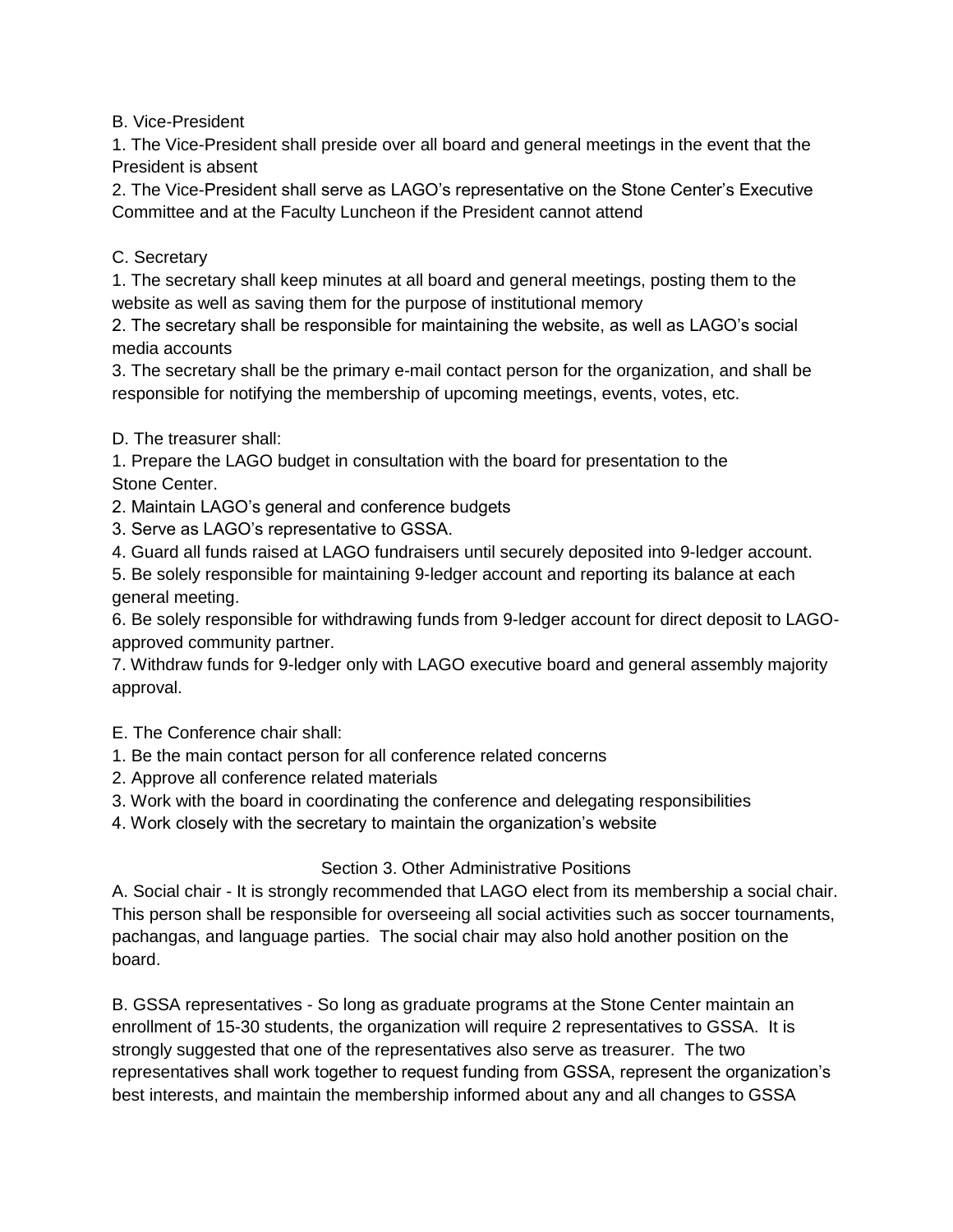B. Vice-President

1. The Vice-President shall preside over all board and general meetings in the event that the President is absent

2. The Vice-President shall serve as LAGO's representative on the Stone Center's Executive Committee and at the Faculty Luncheon if the President cannot attend

## C. Secretary

1. The secretary shall keep minutes at all board and general meetings, posting them to the website as well as saving them for the purpose of institutional memory

2. The secretary shall be responsible for maintaining the website, as well as LAGO's social media accounts

3. The secretary shall be the primary e-mail contact person for the organization, and shall be responsible for notifying the membership of upcoming meetings, events, votes, etc.

D. The treasurer shall:

1. Prepare the LAGO budget in consultation with the board for presentation to the Stone Center.

2. Maintain LAGO's general and conference budgets

3. Serve as LAGO's representative to GSSA.

4. Guard all funds raised at LAGO fundraisers until securely deposited into 9-ledger account.

5. Be solely responsible for maintaining 9-ledger account and reporting its balance at each general meeting.

6. Be solely responsible for withdrawing funds from 9-ledger account for direct deposit to LAGOapproved community partner.

7. Withdraw funds for 9-ledger only with LAGO executive board and general assembly majority approval.

E. The Conference chair shall:

1. Be the main contact person for all conference related concerns

2. Approve all conference related materials

3. Work with the board in coordinating the conference and delegating responsibilities

4. Work closely with the secretary to maintain the organization's website

### Section 3. Other Administrative Positions

A. Social chair - It is strongly recommended that LAGO elect from its membership a social chair. This person shall be responsible for overseeing all social activities such as soccer tournaments, pachangas, and language parties. The social chair may also hold another position on the board.

B. GSSA representatives - So long as graduate programs at the Stone Center maintain an enrollment of 15-30 students, the organization will require 2 representatives to GSSA. It is strongly suggested that one of the representatives also serve as treasurer. The two representatives shall work together to request funding from GSSA, represent the organization's best interests, and maintain the membership informed about any and all changes to GSSA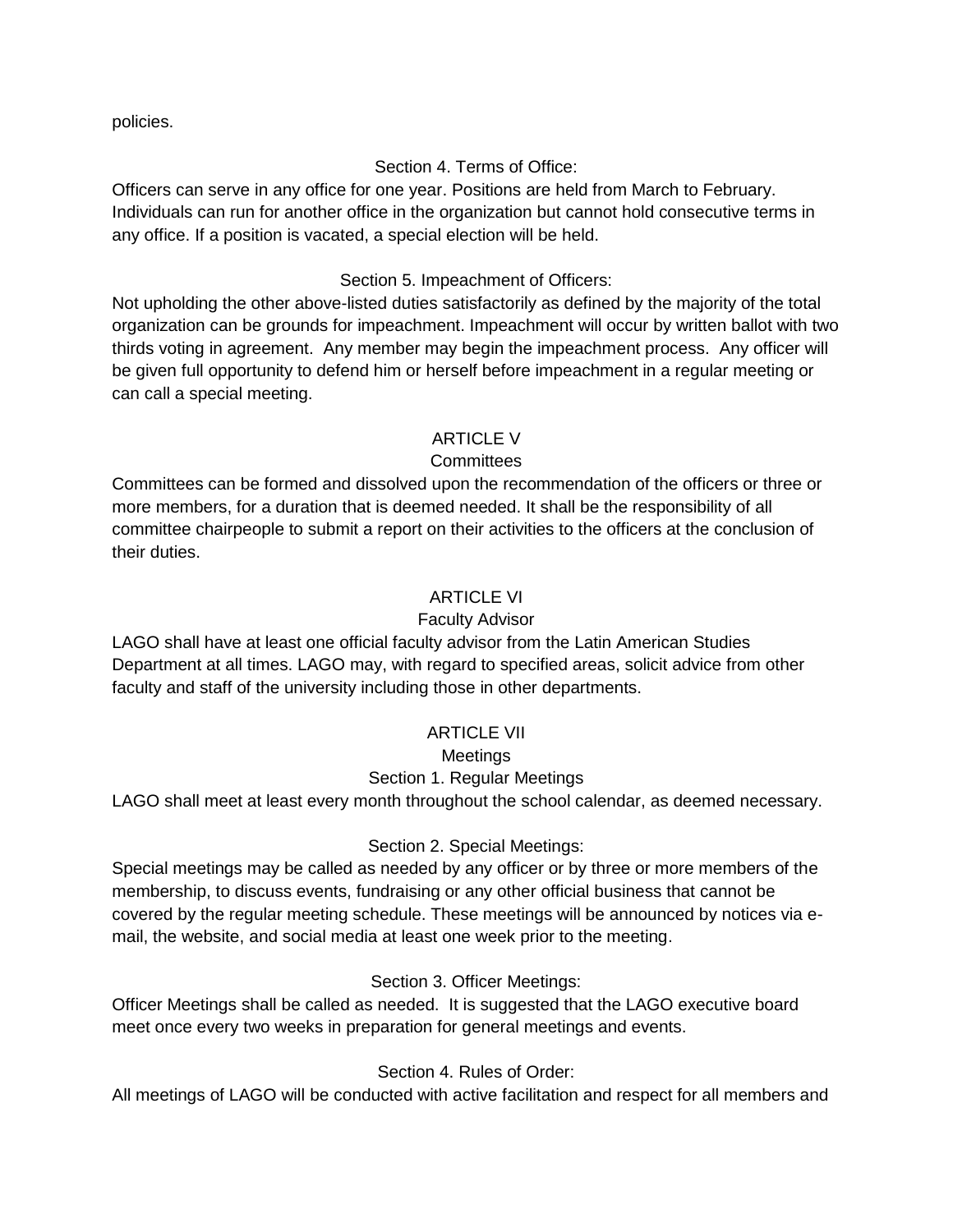policies.

## Section 4. Terms of Office:

Officers can serve in any office for one year. Positions are held from March to February. Individuals can run for another office in the organization but cannot hold consecutive terms in any office. If a position is vacated, a special election will be held.

### Section 5. Impeachment of Officers:

Not upholding the other above-listed duties satisfactorily as defined by the majority of the total organization can be grounds for impeachment. Impeachment will occur by written ballot with two thirds voting in agreement. Any member may begin the impeachment process. Any officer will be given full opportunity to defend him or herself before impeachment in a regular meeting or can call a special meeting.

### ARTICLE V

## **Committees**

Committees can be formed and dissolved upon the recommendation of the officers or three or more members, for a duration that is deemed needed. It shall be the responsibility of all committee chairpeople to submit a report on their activities to the officers at the conclusion of their duties.

### ARTICLE VI

### Faculty Advisor

LAGO shall have at least one official faculty advisor from the Latin American Studies Department at all times. LAGO may, with regard to specified areas, solicit advice from other faculty and staff of the university including those in other departments.

### **ARTICLE VII**

### Meetings

# Section 1. Regular Meetings

LAGO shall meet at least every month throughout the school calendar, as deemed necessary.

### Section 2. Special Meetings:

Special meetings may be called as needed by any officer or by three or more members of the membership, to discuss events, fundraising or any other official business that cannot be covered by the regular meeting schedule. These meetings will be announced by notices via email, the website, and social media at least one week prior to the meeting.

### Section 3. Officer Meetings:

Officer Meetings shall be called as needed. It is suggested that the LAGO executive board meet once every two weeks in preparation for general meetings and events.

# Section 4. Rules of Order:

All meetings of LAGO will be conducted with active facilitation and respect for all members and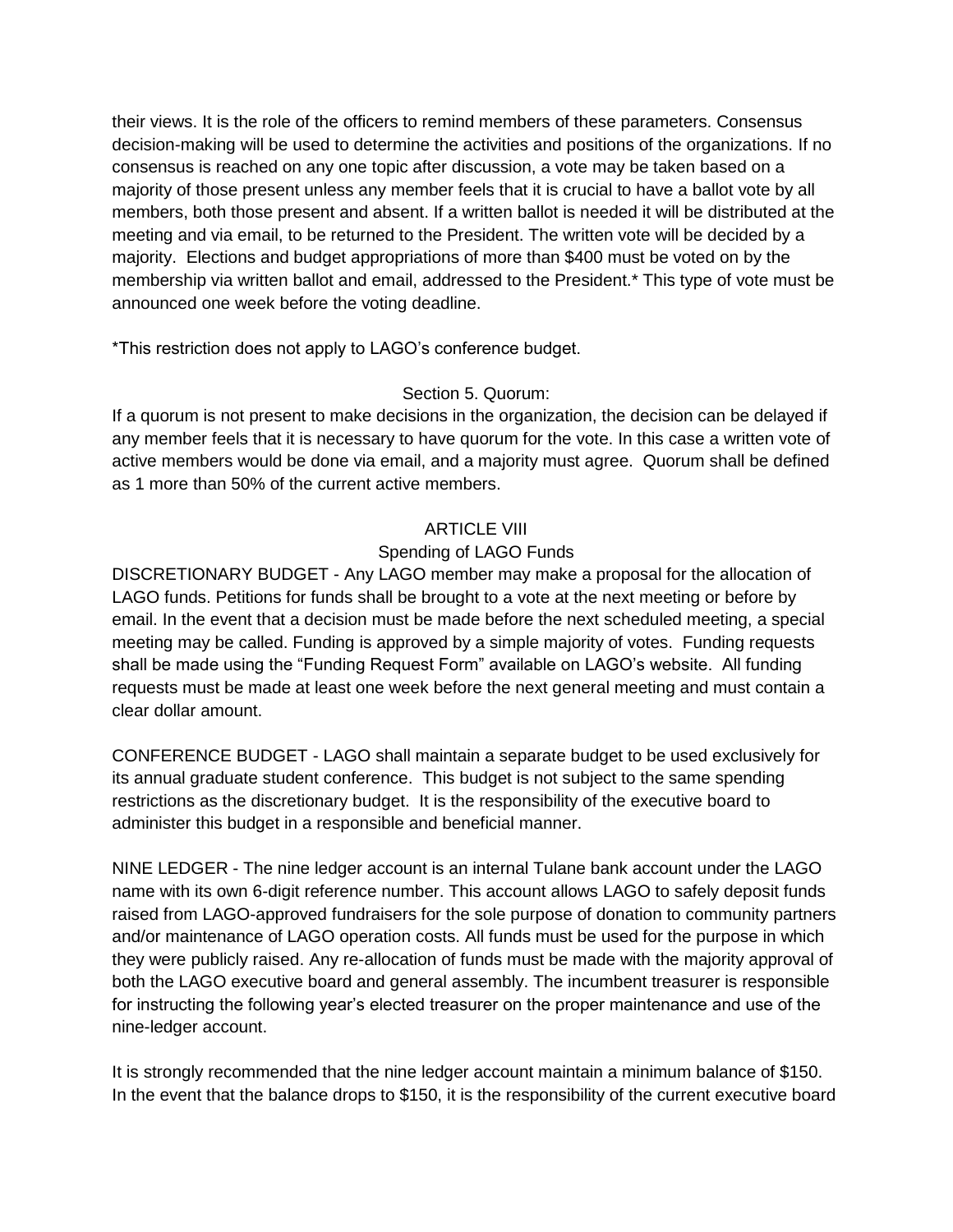their views. It is the role of the officers to remind members of these parameters. Consensus decision-making will be used to determine the activities and positions of the organizations. If no consensus is reached on any one topic after discussion, a vote may be taken based on a majority of those present unless any member feels that it is crucial to have a ballot vote by all members, both those present and absent. If a written ballot is needed it will be distributed at the meeting and via email, to be returned to the President. The written vote will be decided by a majority. Elections and budget appropriations of more than \$400 must be voted on by the membership via written ballot and email, addressed to the President.\* This type of vote must be announced one week before the voting deadline.

\*This restriction does not apply to LAGO's conference budget.

## Section 5. Quorum:

If a quorum is not present to make decisions in the organization, the decision can be delayed if any member feels that it is necessary to have quorum for the vote. In this case a written vote of active members would be done via email, and a majority must agree. Quorum shall be defined as 1 more than 50% of the current active members.

### ARTICLE VIII

### Spending of LAGO Funds

DISCRETIONARY BUDGET - Any LAGO member may make a proposal for the allocation of LAGO funds. Petitions for funds shall be brought to a vote at the next meeting or before by email. In the event that a decision must be made before the next scheduled meeting, a special meeting may be called. Funding is approved by a simple majority of votes. Funding requests shall be made using the "Funding Request Form" available on LAGO's website. All funding requests must be made at least one week before the next general meeting and must contain a clear dollar amount.

CONFERENCE BUDGET - LAGO shall maintain a separate budget to be used exclusively for its annual graduate student conference. This budget is not subject to the same spending restrictions as the discretionary budget. It is the responsibility of the executive board to administer this budget in a responsible and beneficial manner.

NINE LEDGER - The nine ledger account is an internal Tulane bank account under the LAGO name with its own 6-digit reference number. This account allows LAGO to safely deposit funds raised from LAGO-approved fundraisers for the sole purpose of donation to community partners and/or maintenance of LAGO operation costs. All funds must be used for the purpose in which they were publicly raised. Any re-allocation of funds must be made with the majority approval of both the LAGO executive board and general assembly. The incumbent treasurer is responsible for instructing the following year's elected treasurer on the proper maintenance and use of the nine-ledger account.

It is strongly recommended that the nine ledger account maintain a minimum balance of \$150. In the event that the balance drops to \$150, it is the responsibility of the current executive board